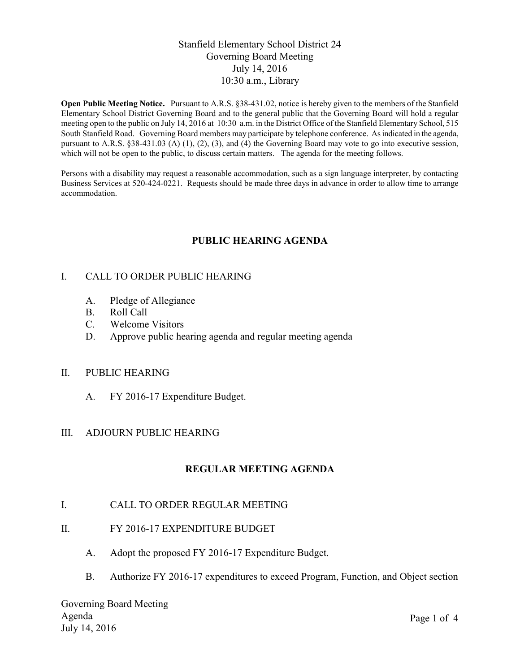## Stanfield Elementary School District 24 Governing Board Meeting July 14, 2016 10:30 a.m., Library

**Open Public Meeting Notice.** Pursuant to A.R.S. §38-431.02, notice is hereby given to the members of the Stanfield Elementary School District Governing Board and to the general public that the Governing Board will hold a regular meeting open to the public on July 14, 2016 at 10:30 a.m. in the District Office of the Stanfield Elementary School, 515 South Stanfield Road. Governing Board members may participate by telephone conference. As indicated in the agenda, pursuant to A.R.S. §38-431.03 (A) (1), (2), (3), and (4) the Governing Board may vote to go into executive session, which will not be open to the public, to discuss certain matters. The agenda for the meeting follows.

Persons with a disability may request a reasonable accommodation, such as a sign language interpreter, by contacting Business Services at 520-424-0221. Requests should be made three days in advance in order to allow time to arrange accommodation.

# **PUBLIC HEARING AGENDA**

### I. CALL TO ORDER PUBLIC HEARING

- A. Pledge of Allegiance
- B. Roll Call
- C. Welcome Visitors
- D. Approve public hearing agenda and regular meeting agenda

#### II. PUBLIC HEARING

A. FY 2016-17 Expenditure Budget.

#### III. ADJOURN PUBLIC HEARING

## **REGULAR MEETING AGENDA**

#### I. CALL TO ORDER REGULAR MEETING

- II. FY 2016-17 EXPENDITURE BUDGET
	- A. Adopt the proposed FY 2016-17 Expenditure Budget.
	- B. Authorize FY 2016-17 expenditures to exceed Program, Function, and Object section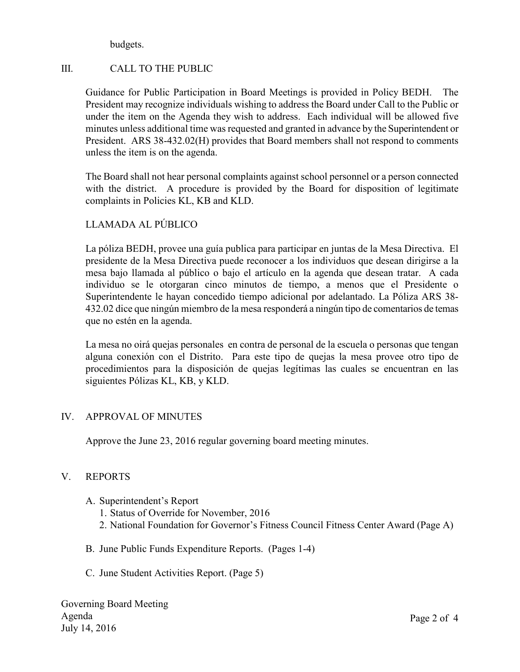budgets.

# III. CALL TO THE PUBLIC

Guidance for Public Participation in Board Meetings is provided in Policy BEDH. The President may recognize individuals wishing to address the Board under Call to the Public or under the item on the Agenda they wish to address. Each individual will be allowed five minutes unless additional time was requested and granted in advance by the Superintendent or President. ARS 38-432.02(H) provides that Board members shall not respond to comments unless the item is on the agenda.

The Board shall not hear personal complaints against school personnel or a person connected with the district. A procedure is provided by the Board for disposition of legitimate complaints in Policies KL, KB and KLD.

# LLAMADA AL PÚBLICO

La póliza BEDH, provee una guía publica para participar en juntas de la Mesa Directiva. El presidente de la Mesa Directiva puede reconocer a los individuos que desean dirigirse a la mesa bajo llamada al público o bajo el artículo en la agenda que desean tratar. A cada individuo se le otorgaran cinco minutos de tiempo, a menos que el Presidente o Superintendente le hayan concedido tiempo adicional por adelantado. La Póliza ARS 38- 432.02 dice que ningún miembro de la mesa responderá a ningún tipo de comentarios de temas que no estén en la agenda.

La mesa no oirá quejas personales en contra de personal de la escuela o personas que tengan alguna conexión con el Distrito. Para este tipo de quejas la mesa provee otro tipo de procedimientos para la disposición de quejas legítimas las cuales se encuentran en las siguientes Pólizas KL, KB, y KLD.

## IV. APPROVAL OF MINUTES

Approve the June 23, 2016 regular governing board meeting minutes.

## V. REPORTS

- A. Superintendent's Report
	- 1. Status of Override for November, 2016
	- 2. National Foundation for Governor's Fitness Council Fitness Center Award (Page A)
- B. June Public Funds Expenditure Reports. (Pages 1-4)
- C. June Student Activities Report. (Page 5)

Governing Board Meeting Agenda July 14, 2016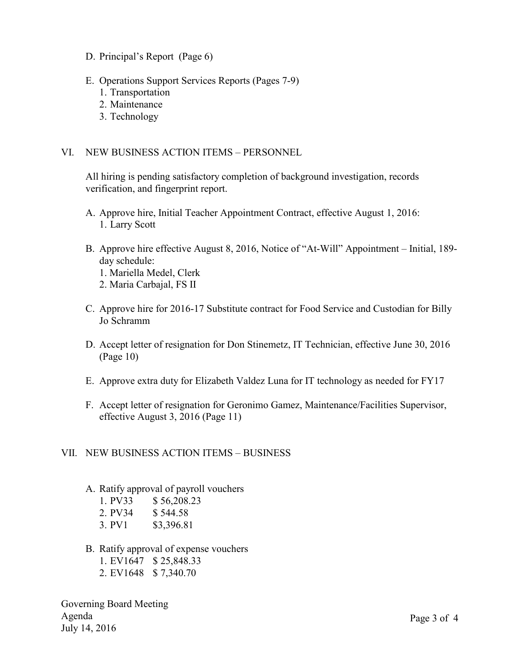- D. Principal's Report (Page 6)
- E. Operations Support Services Reports (Pages 7-9)
	- 1. Transportation
	- 2. Maintenance
	- 3. Technology

### VI. NEW BUSINESS ACTION ITEMS – PERSONNEL

All hiring is pending satisfactory completion of background investigation, records verification, and fingerprint report.

- A. Approve hire, Initial Teacher Appointment Contract, effective August 1, 2016: 1. Larry Scott
- B. Approve hire effective August 8, 2016, Notice of "At-Will" Appointment Initial, 189 day schedule:
	- 1. Mariella Medel, Clerk
	- 2. Maria Carbajal, FS II
- C. Approve hire for 2016-17 Substitute contract for Food Service and Custodian for Billy Jo Schramm
- D. Accept letter of resignation for Don Stinemetz, IT Technician, effective June 30, 2016 (Page 10)
- E. Approve extra duty for Elizabeth Valdez Luna for IT technology as needed for FY17
- F. Accept letter of resignation for Geronimo Gamez, Maintenance/Facilities Supervisor, effective August 3, 2016 (Page 11)
- VII. NEW BUSINESS ACTION ITEMS BUSINESS
	- A. Ratify approval of payroll vouchers
		- 1. PV33 \$ 56,208.23
		- 2. PV34 \$ 544.58
		- 3. PV1 \$3,396.81
	- B. Ratify approval of expense vouchers
		- 1. EV1647 \$ 25,848.33
		- 2. EV1648 \$ 7,340.70

Governing Board Meeting Agenda July 14, 2016